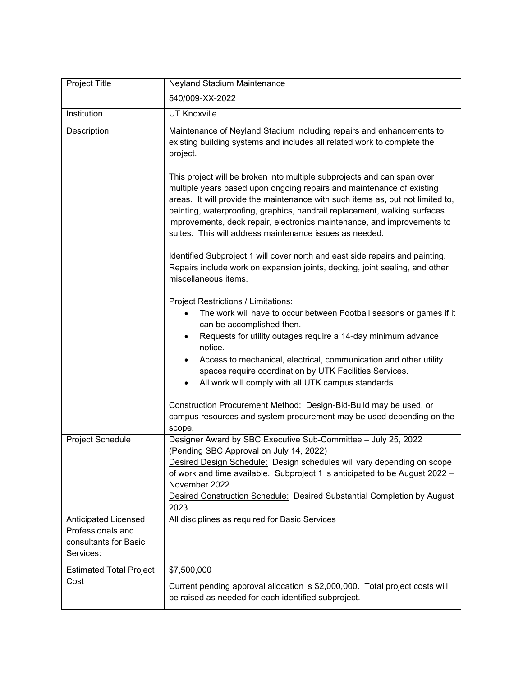| Project Title                                                                   | Neyland Stadium Maintenance                                                                                                                                                                                                                                                                                                                                                                                                                           |
|---------------------------------------------------------------------------------|-------------------------------------------------------------------------------------------------------------------------------------------------------------------------------------------------------------------------------------------------------------------------------------------------------------------------------------------------------------------------------------------------------------------------------------------------------|
|                                                                                 | 540/009-XX-2022                                                                                                                                                                                                                                                                                                                                                                                                                                       |
| Institution                                                                     | <b>UT Knoxville</b>                                                                                                                                                                                                                                                                                                                                                                                                                                   |
| Description                                                                     | Maintenance of Neyland Stadium including repairs and enhancements to<br>existing building systems and includes all related work to complete the<br>project.                                                                                                                                                                                                                                                                                           |
|                                                                                 | This project will be broken into multiple subprojects and can span over<br>multiple years based upon ongoing repairs and maintenance of existing<br>areas. It will provide the maintenance with such items as, but not limited to,<br>painting, waterproofing, graphics, handrail replacement, walking surfaces<br>improvements, deck repair, electronics maintenance, and improvements to<br>suites. This will address maintenance issues as needed. |
|                                                                                 | Identified Subproject 1 will cover north and east side repairs and painting.<br>Repairs include work on expansion joints, decking, joint sealing, and other<br>miscellaneous items.                                                                                                                                                                                                                                                                   |
|                                                                                 | Project Restrictions / Limitations:                                                                                                                                                                                                                                                                                                                                                                                                                   |
|                                                                                 | The work will have to occur between Football seasons or games if it<br>can be accomplished then.                                                                                                                                                                                                                                                                                                                                                      |
|                                                                                 | Requests for utility outages require a 14-day minimum advance<br>$\bullet$<br>notice.                                                                                                                                                                                                                                                                                                                                                                 |
|                                                                                 | Access to mechanical, electrical, communication and other utility<br>$\bullet$<br>spaces require coordination by UTK Facilities Services.<br>All work will comply with all UTK campus standards.<br>$\bullet$                                                                                                                                                                                                                                         |
|                                                                                 | Construction Procurement Method: Design-Bid-Build may be used, or<br>campus resources and system procurement may be used depending on the<br>scope.                                                                                                                                                                                                                                                                                                   |
| Project Schedule                                                                | Designer Award by SBC Executive Sub-Committee - July 25, 2022<br>(Pending SBC Approval on July 14, 2022)                                                                                                                                                                                                                                                                                                                                              |
|                                                                                 | Desired Design Schedule: Design schedules will vary depending on scope<br>of work and time available. Subproject 1 is anticipated to be August 2022 -<br>November 2022                                                                                                                                                                                                                                                                                |
|                                                                                 | Desired Construction Schedule: Desired Substantial Completion by August<br>2023                                                                                                                                                                                                                                                                                                                                                                       |
| Anticipated Licensed<br>Professionals and<br>consultants for Basic<br>Services: | All disciplines as required for Basic Services                                                                                                                                                                                                                                                                                                                                                                                                        |
| <b>Estimated Total Project</b><br>Cost                                          | \$7,500,000<br>Current pending approval allocation is \$2,000,000. Total project costs will<br>be raised as needed for each identified subproject.                                                                                                                                                                                                                                                                                                    |